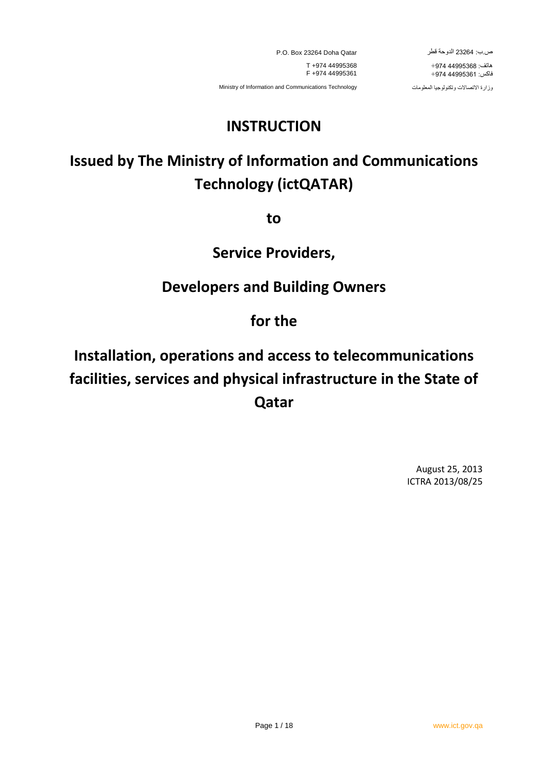P.O. Box 23264 Doha Qatar T +974 44995368 F +974 44995361

ص.ب: 26232 الدوحة قطر

 هاتف: 22559634 +572 فاكس: 22559634 +572

Ministry of Information and Communications Technology

وزارة االتصاالت وتكنولوجيا المعلومات

# **INSTRUCTION**

# **Issued by The Ministry of Information and Communications Technology (ictQATAR)**

**to**

## **Service Providers,**

# **Developers and Building Owners**

## **for the**

# **Installation, operations and access to telecommunications facilities, services and physical infrastructure in the State of Qatar**

August 25, 2013 ICTRA 2013/08/25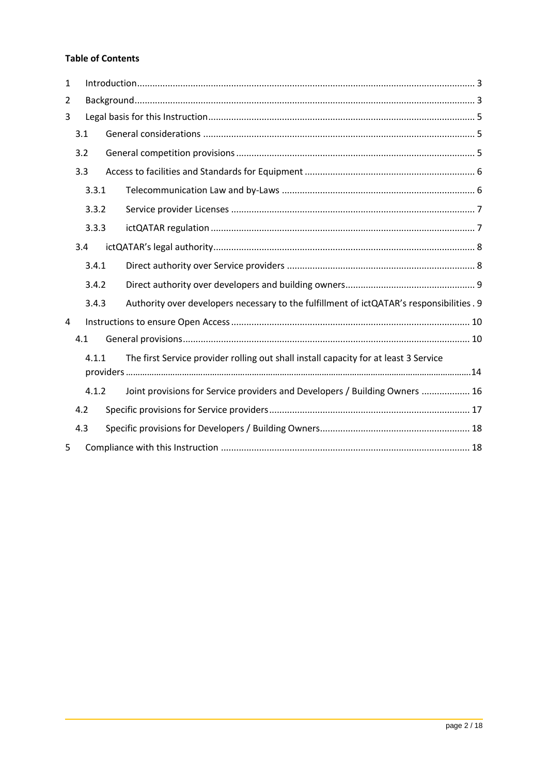#### **Table of Contents**

| $\mathbf{1}$ |                                                                                      |       |                                                                                           |  |  |  |
|--------------|--------------------------------------------------------------------------------------|-------|-------------------------------------------------------------------------------------------|--|--|--|
| 2            |                                                                                      |       |                                                                                           |  |  |  |
| 3            |                                                                                      |       |                                                                                           |  |  |  |
|              | 3.1                                                                                  |       |                                                                                           |  |  |  |
|              | 3.2                                                                                  |       |                                                                                           |  |  |  |
|              | 3.3                                                                                  |       |                                                                                           |  |  |  |
|              | 3.3.1                                                                                |       |                                                                                           |  |  |  |
|              | 3.3.2                                                                                |       |                                                                                           |  |  |  |
|              | 3.3.3                                                                                |       |                                                                                           |  |  |  |
| 3.4          |                                                                                      |       |                                                                                           |  |  |  |
|              | 3.4.1                                                                                |       |                                                                                           |  |  |  |
| 3.4.2        |                                                                                      |       |                                                                                           |  |  |  |
|              | 3.4.3                                                                                |       | Authority over developers necessary to the fulfillment of ictQATAR's responsibilities . 9 |  |  |  |
| 4            |                                                                                      |       |                                                                                           |  |  |  |
|              | 4.1                                                                                  |       |                                                                                           |  |  |  |
|              | The first Service provider rolling out shall install capacity for at least 3 Service |       |                                                                                           |  |  |  |
|              |                                                                                      | 4.1.2 | Joint provisions for Service providers and Developers / Building Owners  16               |  |  |  |
| 4.2          |                                                                                      |       |                                                                                           |  |  |  |
|              | 4.3                                                                                  |       |                                                                                           |  |  |  |
| 5            |                                                                                      |       |                                                                                           |  |  |  |
|              |                                                                                      |       |                                                                                           |  |  |  |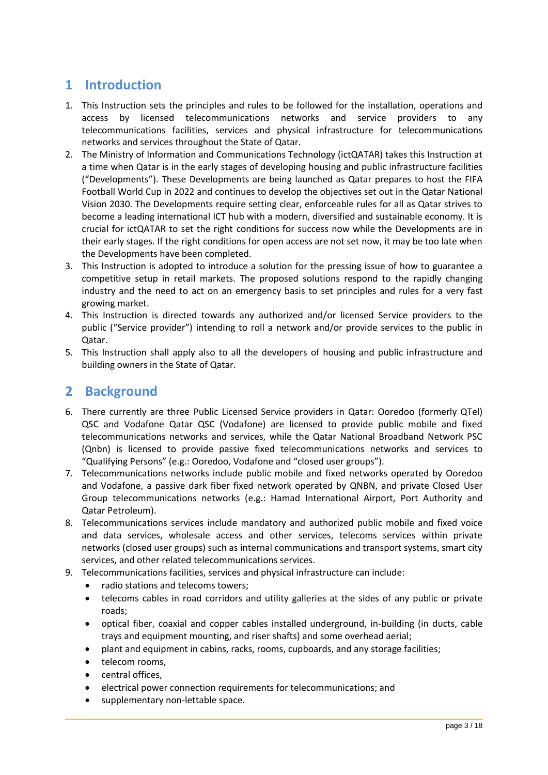### <span id="page-2-0"></span>**1 Introduction**

- 1. This Instruction sets the principles and rules to be followed for the installation, operations and access by licensed telecommunications networks and service providers to any telecommunications facilities, services and physical infrastructure for telecommunications networks and services throughout the State of Qatar.
- 2. The Ministry of Information and Communications Technology (ictQATAR) takes this Instruction at a time when Qatar is in the early stages of developing housing and public infrastructure facilities ("Developments"). These Developments are being launched as Qatar prepares to host the FIFA Football World Cup in 2022 and continues to develop the objectives set out in the Qatar National Vision 2030. The Developments require setting clear, enforceable rules for all as Qatar strives to become a leading international ICT hub with a modern, diversified and sustainable economy. It is crucial for ictQATAR to set the right conditions for success now while the Developments are in their early stages. If the right conditions for open access are not set now, it may be too late when the Developments have been completed.
- 3. This Instruction is adopted to introduce a solution for the pressing issue of how to guarantee a competitive setup in retail markets. The proposed solutions respond to the rapidly changing industry and the need to act on an emergency basis to set principles and rules for a very fast growing market.
- 4. This Instruction is directed towards any authorized and/or licensed Service providers to the public ("Service provider") intending to roll a network and/or provide services to the public in Qatar.
- 5. This Instruction shall apply also to all the developers of housing and public infrastructure and building owners in the State of Qatar.

### <span id="page-2-1"></span>**2 Background**

- 6. There currently are three Public Licensed Service providers in Qatar: Ooredoo (formerly QTel) QSC and Vodafone Qatar QSC (Vodafone) are licensed to provide public mobile and fixed telecommunications networks and services, while the Qatar National Broadband Network PSC (Qnbn) is licensed to provide passive fixed telecommunications networks and services to "Qualifying Persons" (e.g.: Ooredoo, Vodafone and "closed user groups").
- 7. Telecommunications networks include public mobile and fixed networks operated by Ooredoo and Vodafone, a passive dark fiber fixed network operated by QNBN, and private Closed User Group telecommunications networks (e.g.: Hamad International Airport, Port Authority and Qatar Petroleum).
- 8. Telecommunications services include mandatory and authorized public mobile and fixed voice and data services, wholesale access and other services, telecoms services within private networks (closed user groups) such as internal communications and transport systems, smart city services, and other related telecommunications services.
- 9. Telecommunications facilities, services and physical infrastructure can include:
	- radio stations and telecoms towers;
	- telecoms cables in road corridors and utility galleries at the sides of any public or private roads;
	- optical fiber, coaxial and copper cables installed underground, in-building (in ducts, cable trays and equipment mounting, and riser shafts) and some overhead aerial;
	- plant and equipment in cabins, racks, rooms, cupboards, and any storage facilities;
	- telecom rooms,
	- central offices,
	- electrical power connection requirements for telecommunications; and
	- supplementary non-lettable space.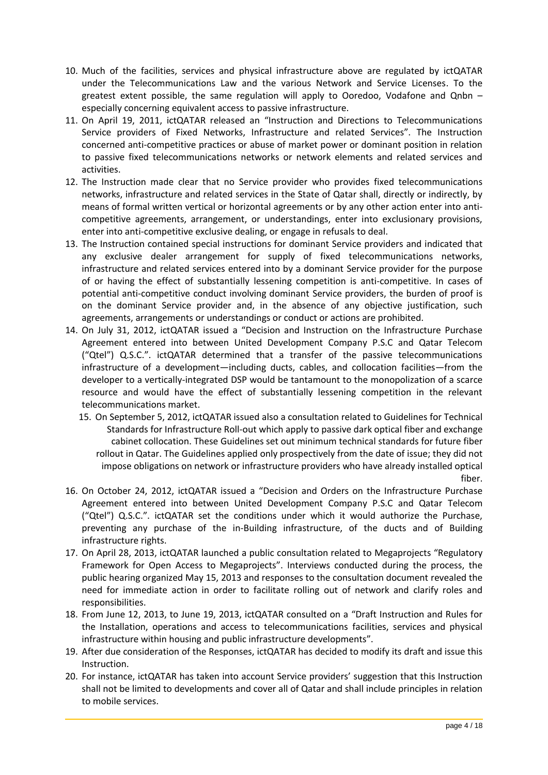- 10. Much of the facilities, services and physical infrastructure above are regulated by ictQATAR under the Telecommunications Law and the various Network and Service Licenses. To the greatest extent possible, the same regulation will apply to Ooredoo, Vodafone and Qnbn – especially concerning equivalent access to passive infrastructure.
- 11. On April 19, 2011, ictQATAR released an "Instruction and Directions to Telecommunications Service providers of Fixed Networks, Infrastructure and related Services". The Instruction concerned anti-competitive practices or abuse of market power or dominant position in relation to passive fixed telecommunications networks or network elements and related services and activities.
- 12. The Instruction made clear that no Service provider who provides fixed telecommunications networks, infrastructure and related services in the State of Qatar shall, directly or indirectly, by means of formal written vertical or horizontal agreements or by any other action enter into anticompetitive agreements, arrangement, or understandings, enter into exclusionary provisions, enter into anti-competitive exclusive dealing, or engage in refusals to deal.
- 13. The Instruction contained special instructions for dominant Service providers and indicated that any exclusive dealer arrangement for supply of fixed telecommunications networks, infrastructure and related services entered into by a dominant Service provider for the purpose of or having the effect of substantially lessening competition is anti-competitive. In cases of potential anti-competitive conduct involving dominant Service providers, the burden of proof is on the dominant Service provider and, in the absence of any objective justification, such agreements, arrangements or understandings or conduct or actions are prohibited.
- 14. On July 31, 2012, ictQATAR issued a "Decision and Instruction on the Infrastructure Purchase Agreement entered into between United Development Company P.S.C and Qatar Telecom ("Qtel") Q.S.C.". ictQATAR determined that a transfer of the passive telecommunications infrastructure of a development—including ducts, cables, and collocation facilities—from the developer to a vertically-integrated DSP would be tantamount to the monopolization of a scarce resource and would have the effect of substantially lessening competition in the relevant telecommunications market.
	- 15. On September 5, 2012, ictQATAR issued also a consultation related to Guidelines for Technical Standards for Infrastructure Roll-out which apply to passive dark optical fiber and exchange cabinet collocation. These Guidelines set out minimum technical standards for future fiber rollout in Qatar. The Guidelines applied only prospectively from the date of issue; they did not impose obligations on network or infrastructure providers who have already installed optical fiber.
- 16. On October 24, 2012, ictQATAR issued a "Decision and Orders on the Infrastructure Purchase Agreement entered into between United Development Company P.S.C and Qatar Telecom ("Qtel") Q.S.C.". ictQATAR set the conditions under which it would authorize the Purchase, preventing any purchase of the in-Building infrastructure, of the ducts and of Building infrastructure rights.
- 17. On April 28, 2013, ictQATAR launched a public consultation related to Megaprojects "Regulatory Framework for Open Access to Megaprojects". Interviews conducted during the process, the public hearing organized May 15, 2013 and responses to the consultation document revealed the need for immediate action in order to facilitate rolling out of network and clarify roles and responsibilities.
- 18. From June 12, 2013, to June 19, 2013, ictQATAR consulted on a "Draft Instruction and Rules for the Installation, operations and access to telecommunications facilities, services and physical infrastructure within housing and public infrastructure developments".
- 19. After due consideration of the Responses, ictQATAR has decided to modify its draft and issue this Instruction.
- 20. For instance, ictQATAR has taken into account Service providers' suggestion that this Instruction shall not be limited to developments and cover all of Qatar and shall include principles in relation to mobile services.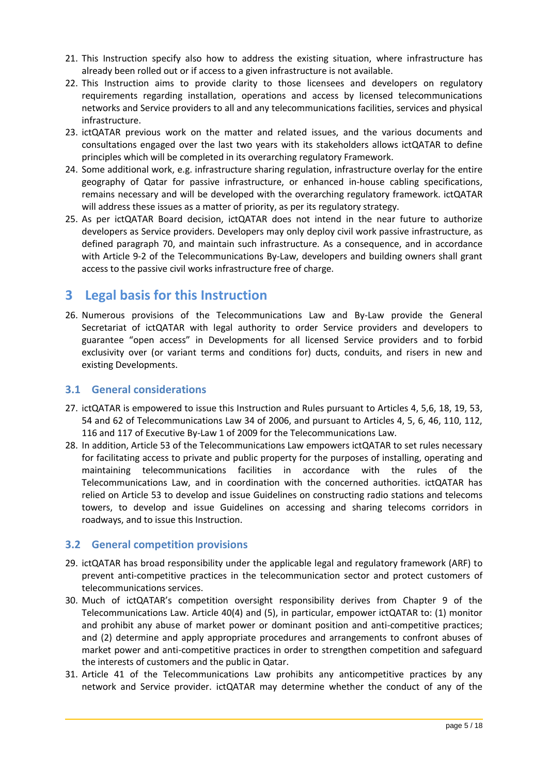- 21. This Instruction specify also how to address the existing situation, where infrastructure has already been rolled out or if access to a given infrastructure is not available.
- 22. This Instruction aims to provide clarity to those licensees and developers on regulatory requirements regarding installation, operations and access by licensed telecommunications networks and Service providers to all and any telecommunications facilities, services and physical infrastructure.
- 23. ictQATAR previous work on the matter and related issues, and the various documents and consultations engaged over the last two years with its stakeholders allows ictQATAR to define principles which will be completed in its overarching regulatory Framework.
- 24. Some additional work, e.g. infrastructure sharing regulation, infrastructure overlay for the entire geography of Qatar for passive infrastructure, or enhanced in-house cabling specifications, remains necessary and will be developed with the overarching regulatory framework. ictQATAR will address these issues as a matter of priority, as per its regulatory strategy.
- 25. As per ictQATAR Board decision, ictQATAR does not intend in the near future to authorize developers as Service providers. Developers may only deploy civil work passive infrastructure, as defined paragraph [70,](#page-11-0) and maintain such infrastructure. As a consequence, and in accordance with Article 9-2 of the Telecommunications By-Law, developers and building owners shall grant access to the passive civil works infrastructure free of charge.

### <span id="page-4-0"></span>**3 Legal basis for this Instruction**

26. Numerous provisions of the Telecommunications Law and By-Law provide the General Secretariat of ictQATAR with legal authority to order Service providers and developers to guarantee "open access" in Developments for all licensed Service providers and to forbid exclusivity over (or variant terms and conditions for) ducts, conduits, and risers in new and existing Developments.

#### <span id="page-4-1"></span>**3.1 General considerations**

- 27. ictQATAR is empowered to issue this Instruction and Rules pursuant to Articles 4, 5,6, 18, 19, 53, 54 and 62 of Telecommunications Law 34 of 2006, and pursuant to Articles 4, 5, 6, 46, 110, 112, 116 and 117 of Executive By-Law 1 of 2009 for the Telecommunications Law.
- 28. In addition, Article 53 of the Telecommunications Law empowers ictQATAR to set rules necessary for facilitating access to private and public property for the purposes of installing, operating and maintaining telecommunications facilities in accordance with the rules of the Telecommunications Law, and in coordination with the concerned authorities. ictQATAR has relied on Article 53 to develop and issue Guidelines on constructing radio stations and telecoms towers, to develop and issue Guidelines on accessing and sharing telecoms corridors in roadways, and to issue this Instruction.

#### <span id="page-4-2"></span>**3.2 General competition provisions**

- 29. ictQATAR has broad responsibility under the applicable legal and regulatory framework (ARF) to prevent anti-competitive practices in the telecommunication sector and protect customers of telecommunications services.
- 30. Much of ictQATAR's competition oversight responsibility derives from Chapter 9 of the Telecommunications Law. Article 40(4) and (5), in particular, empower ictQATAR to: (1) monitor and prohibit any abuse of market power or dominant position and anti-competitive practices; and (2) determine and apply appropriate procedures and arrangements to confront abuses of market power and anti-competitive practices in order to strengthen competition and safeguard the interests of customers and the public in Qatar.
- 31. Article 41 of the Telecommunications Law prohibits any anticompetitive practices by any network and Service provider. ictQATAR may determine whether the conduct of any of the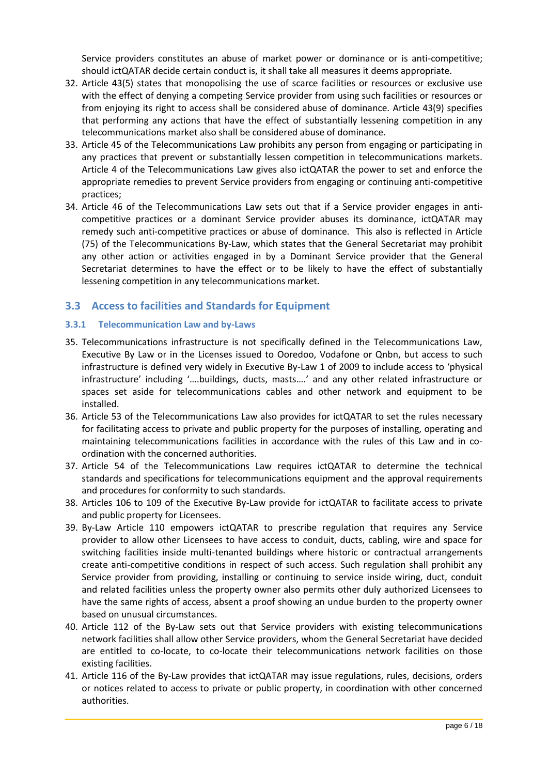Service providers constitutes an abuse of market power or dominance or is anti-competitive; should ictQATAR decide certain conduct is, it shall take all measures it deems appropriate.

- 32. Article 43(5) states that monopolising the use of scarce facilities or resources or exclusive use with the effect of denying a competing Service provider from using such facilities or resources or from enjoying its right to access shall be considered abuse of dominance. Article 43(9) specifies that performing any actions that have the effect of substantially lessening competition in any telecommunications market also shall be considered abuse of dominance.
- 33. Article 45 of the Telecommunications Law prohibits any person from engaging or participating in any practices that prevent or substantially lessen competition in telecommunications markets. Article 4 of the Telecommunications Law gives also ictQATAR the power to set and enforce the appropriate remedies to prevent Service providers from engaging or continuing anti-competitive practices;
- 34. Article 46 of the Telecommunications Law sets out that if a Service provider engages in anticompetitive practices or a dominant Service provider abuses its dominance, ictQATAR may remedy such anti-competitive practices or abuse of dominance. This also is reflected in Article (75) of the Telecommunications By-Law, which states that the General Secretariat may prohibit any other action or activities engaged in by a Dominant Service provider that the General Secretariat determines to have the effect or to be likely to have the effect of substantially lessening competition in any telecommunications market.

#### <span id="page-5-0"></span>**3.3 Access to facilities and Standards for Equipment**

#### <span id="page-5-1"></span>**3.3.1 Telecommunication Law and by-Laws**

- 35. Telecommunications infrastructure is not specifically defined in the Telecommunications Law, Executive By Law or in the Licenses issued to Ooredoo, Vodafone or Qnbn, but access to such infrastructure is defined very widely in Executive By-Law 1 of 2009 to include access to 'physical infrastructure' including '….buildings, ducts, masts….' and any other related infrastructure or spaces set aside for telecommunications cables and other network and equipment to be installed.
- 36. Article 53 of the Telecommunications Law also provides for ictQATAR to set the rules necessary for facilitating access to private and public property for the purposes of installing, operating and maintaining telecommunications facilities in accordance with the rules of this Law and in coordination with the concerned authorities.
- 37. Article 54 of the Telecommunications Law requires ictQATAR to determine the technical standards and specifications for telecommunications equipment and the approval requirements and procedures for conformity to such standards.
- 38. Articles 106 to 109 of the Executive By-Law provide for ictQATAR to facilitate access to private and public property for Licensees.
- 39. By-Law Article 110 empowers ictQATAR to prescribe regulation that requires any Service provider to allow other Licensees to have access to conduit, ducts, cabling, wire and space for switching facilities inside multi-tenanted buildings where historic or contractual arrangements create anti-competitive conditions in respect of such access. Such regulation shall prohibit any Service provider from providing, installing or continuing to service inside wiring, duct, conduit and related facilities unless the property owner also permits other duly authorized Licensees to have the same rights of access, absent a proof showing an undue burden to the property owner based on unusual circumstances.
- 40. Article 112 of the By-Law sets out that Service providers with existing telecommunications network facilities shall allow other Service providers, whom the General Secretariat have decided are entitled to co-locate, to co-locate their telecommunications network facilities on those existing facilities.
- 41. Article 116 of the By-Law provides that ictQATAR may issue regulations, rules, decisions, orders or notices related to access to private or public property, in coordination with other concerned authorities.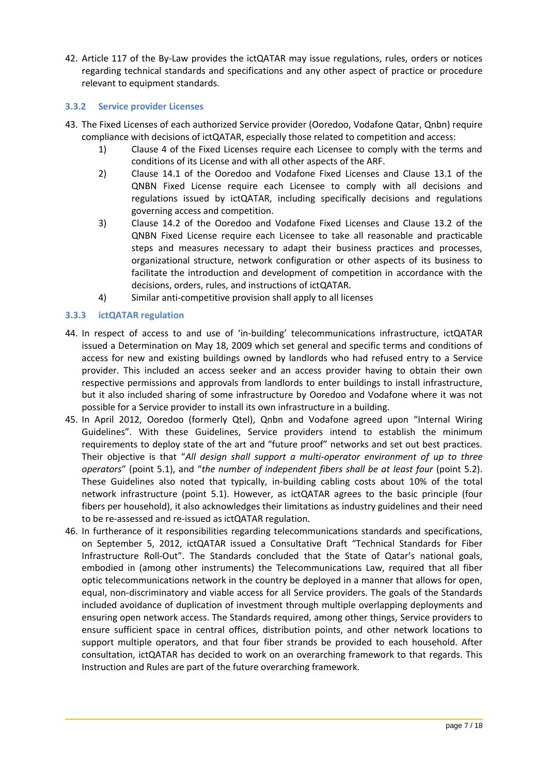42. Article 117 of the By-Law provides the ictQATAR may issue regulations, rules, orders or notices regarding technical standards and specifications and any other aspect of practice or procedure relevant to equipment standards.

#### <span id="page-6-0"></span>**3.3.2 Service provider Licenses**

- 43. The Fixed Licenses of each authorized Service provider (Ooredoo, Vodafone Qatar, Qnbn) require compliance with decisions of ictQATAR, especially those related to competition and access:
	- 1) Clause 4 of the Fixed Licenses require each Licensee to comply with the terms and conditions of its License and with all other aspects of the ARF.
	- 2) Clause 14.1 of the Ooredoo and Vodafone Fixed Licenses and Clause 13.1 of the QNBN Fixed License require each Licensee to comply with all decisions and regulations issued by ictQATAR, including specifically decisions and regulations governing access and competition.
	- 3) Clause 14.2 of the Ooredoo and Vodafone Fixed Licenses and Clause 13.2 of the QNBN Fixed License require each Licensee to take all reasonable and practicable steps and measures necessary to adapt their business practices and processes, organizational structure, network configuration or other aspects of its business to facilitate the introduction and development of competition in accordance with the decisions, orders, rules, and instructions of ictQATAR.
	- 4) Similar anti-competitive provision shall apply to all licenses

#### <span id="page-6-1"></span>**3.3.3 ictQATAR regulation**

- 44. In respect of access to and use of 'in-building' telecommunications infrastructure, ictQATAR issued a Determination on May 18, 2009 which set general and specific terms and conditions of access for new and existing buildings owned by landlords who had refused entry to a Service provider. This included an access seeker and an access provider having to obtain their own respective permissions and approvals from landlords to enter buildings to install infrastructure, but it also included sharing of some infrastructure by Ooredoo and Vodafone where it was not possible for a Service provider to install its own infrastructure in a building.
- 45. In April 2012, Ooredoo (formerly Qtel), Qnbn and Vodafone agreed upon "Internal Wiring Guidelines". With these Guidelines, Service providers intend to establish the minimum requirements to deploy state of the art and "future proof" networks and set out best practices. Their objective is that "*All design shall support a multi-operator environment of up to three operators*" (point 5.1), and "*the number of independent fibers shall be at least four* (point 5.2). These Guidelines also noted that typically, in-building cabling costs about 10% of the total network infrastructure (point 5.1). However, as ictQATAR agrees to the basic principle (four fibers per household), it also acknowledges their limitations as industry guidelines and their need to be re-assessed and re-issued as ictQATAR regulation.
- 46. In furtherance of it responsibilities regarding telecommunications standards and specifications, on September 5, 2012, ictQATAR issued a Consultative Draft "Technical Standards for Fiber Infrastructure Roll-Out". The Standards concluded that the State of Qatar's national goals, embodied in (among other instruments) the Telecommunications Law, required that all fiber optic telecommunications network in the country be deployed in a manner that allows for open, equal, non-discriminatory and viable access for all Service providers. The goals of the Standards included avoidance of duplication of investment through multiple overlapping deployments and ensuring open network access. The Standards required, among other things, Service providers to ensure sufficient space in central offices, distribution points, and other network locations to support multiple operators, and that four fiber strands be provided to each household. After consultation, ictQATAR has decided to work on an overarching framework to that regards. This Instruction and Rules are part of the future overarching framework.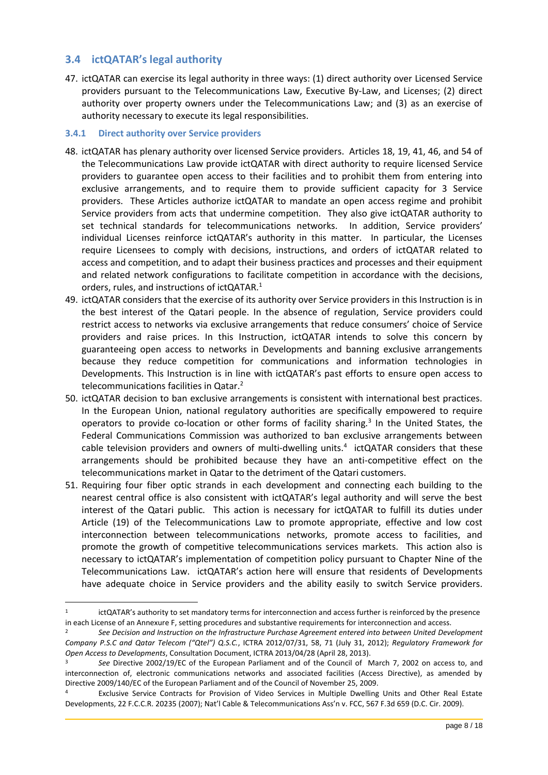#### <span id="page-7-0"></span>**3.4 ictQATAR's legal authority**

 $\overline{\phantom{a}}$ 

47. ictQATAR can exercise its legal authority in three ways: (1) direct authority over Licensed Service providers pursuant to the Telecommunications Law, Executive By-Law, and Licenses; (2) direct authority over property owners under the Telecommunications Law; and (3) as an exercise of authority necessary to execute its legal responsibilities.

#### <span id="page-7-1"></span>**3.4.1 Direct authority over Service providers**

- 48. ictQATAR has plenary authority over licensed Service providers. Articles 18, 19, 41, 46, and 54 of the Telecommunications Law provide ictQATAR with direct authority to require licensed Service providers to guarantee open access to their facilities and to prohibit them from entering into exclusive arrangements, and to require them to provide sufficient capacity for 3 Service providers. These Articles authorize ictQATAR to mandate an open access regime and prohibit Service providers from acts that undermine competition. They also give ictQATAR authority to set technical standards for telecommunications networks. In addition, Service providers' individual Licenses reinforce ictQATAR's authority in this matter. In particular, the Licenses require Licensees to comply with decisions, instructions, and orders of ictQATAR related to access and competition, and to adapt their business practices and processes and their equipment and related network configurations to facilitate competition in accordance with the decisions, orders, rules, and instructions of ictQATAR.<sup>1</sup>
- 49. ictQATAR considers that the exercise of its authority over Service providers in this Instruction is in the best interest of the Qatari people. In the absence of regulation, Service providers could restrict access to networks via exclusive arrangements that reduce consumers' choice of Service providers and raise prices. In this Instruction, ictQATAR intends to solve this concern by guaranteeing open access to networks in Developments and banning exclusive arrangements because they reduce competition for communications and information technologies in Developments. This Instruction is in line with ictQATAR's past efforts to ensure open access to telecommunications facilities in Qatar.<sup>2</sup>
- 50. ictQATAR decision to ban exclusive arrangements is consistent with international best practices. In the European Union, national regulatory authorities are specifically empowered to require operators to provide co-location or other forms of facility sharing.<sup>3</sup> In the United States, the Federal Communications Commission was authorized to ban exclusive arrangements between cable television providers and owners of multi-dwelling units.<sup>4</sup> ictQATAR considers that these arrangements should be prohibited because they have an anti-competitive effect on the telecommunications market in Qatar to the detriment of the Qatari customers.
- 51. Requiring four fiber optic strands in each development and connecting each building to the nearest central office is also consistent with ictQATAR's legal authority and will serve the best interest of the Qatari public. This action is necessary for ictQATAR to fulfill its duties under Article (19) of the Telecommunications Law to promote appropriate, effective and low cost interconnection between telecommunications networks, promote access to facilities, and promote the growth of competitive telecommunications services markets. This action also is necessary to ictQATAR's implementation of competition policy pursuant to Chapter Nine of the Telecommunications Law. ictQATAR's action here will ensure that residents of Developments have adequate choice in Service providers and the ability easily to switch Service providers.

<sup>1</sup> ictQATAR's authority to set mandatory terms for interconnection and access further is reinforced by the presence in each License of an Annexure F, setting procedures and substantive requirements for interconnection and access.

<sup>2</sup> *See Decision and Instruction on the Infrastructure Purchase Agreement entered into between United Development Company P.S.C and Qatar Telecom ("Qtel") Q.S.C.*, ICTRA 2012/07/31, 58, 71 (July 31, 2012); *Regulatory Framework for Open Access to Developments*, Consultation Document, ICTRA 2013/04/28 (April 28, 2013).

<sup>3</sup> *See* Directive 2002/19/EC of the European Parliament and of the Council of March 7, 2002 on access to, and interconnection of, electronic communications networks and associated facilities (Access Directive), as amended by Directive 2009/140/EC of the European Parliament and of the Council of November 25, 2009.

<sup>4</sup> Exclusive Service Contracts for Provision of Video Services in Multiple Dwelling Units and Other Real Estate Developments, 22 F.C.C.R. 20235 (2007); Nat'l Cable & Telecommunications Ass'n v. FCC, 567 F.3d 659 (D.C. Cir. 2009).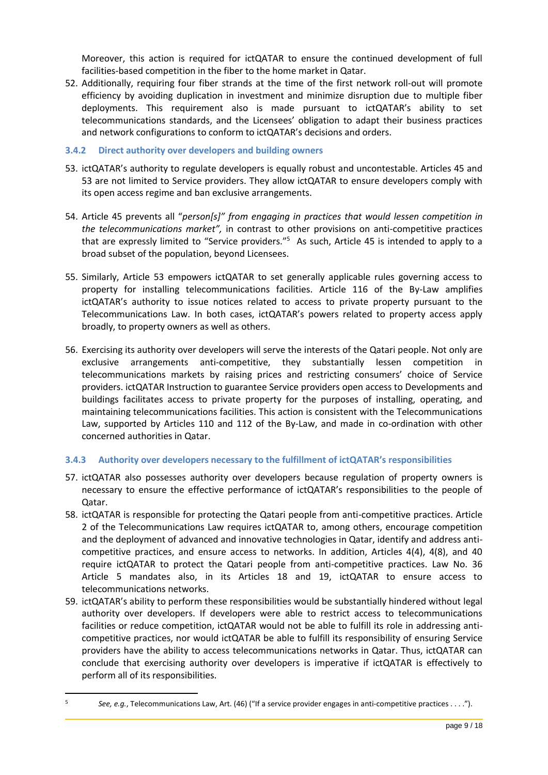Moreover, this action is required for ictQATAR to ensure the continued development of full facilities-based competition in the fiber to the home market in Qatar.

52. Additionally, requiring four fiber strands at the time of the first network roll-out will promote efficiency by avoiding duplication in investment and minimize disruption due to multiple fiber deployments. This requirement also is made pursuant to ictQATAR's ability to set telecommunications standards, and the Licensees' obligation to adapt their business practices and network configurations to conform to ictQATAR's decisions and orders.

#### <span id="page-8-0"></span>**3.4.2 Direct authority over developers and building owners**

- 53. ictQATAR's authority to regulate developers is equally robust and uncontestable. Articles 45 and 53 are not limited to Service providers. They allow ictQATAR to ensure developers comply with its open access regime and ban exclusive arrangements.
- 54. Article 45 prevents all "*person[s]" from engaging in practices that would lessen competition in the telecommunications market",* in contrast to other provisions on anti-competitive practices that are expressly limited to "Service providers."<sup>5</sup> As such, Article 45 is intended to apply to a broad subset of the population, beyond Licensees.
- 55. Similarly, Article 53 empowers ictQATAR to set generally applicable rules governing access to property for installing telecommunications facilities. Article 116 of the By-Law amplifies ictQATAR's authority to issue notices related to access to private property pursuant to the Telecommunications Law. In both cases, ictQATAR's powers related to property access apply broadly, to property owners as well as others.
- 56. Exercising its authority over developers will serve the interests of the Qatari people. Not only are exclusive arrangements anti-competitive, they substantially lessen competition in telecommunications markets by raising prices and restricting consumers' choice of Service providers. ictQATAR Instruction to guarantee Service providers open access to Developments and buildings facilitates access to private property for the purposes of installing, operating, and maintaining telecommunications facilities. This action is consistent with the Telecommunications Law, supported by Articles 110 and 112 of the By-Law, and made in co-ordination with other concerned authorities in Qatar.

#### <span id="page-8-1"></span>**3.4.3 Authority over developers necessary to the fulfillment of ictQATAR's responsibilities**

- 57. ictQATAR also possesses authority over developers because regulation of property owners is necessary to ensure the effective performance of ictQATAR's responsibilities to the people of Qatar.
- 58. ictQATAR is responsible for protecting the Qatari people from anti-competitive practices. Article 2 of the Telecommunications Law requires ictQATAR to, among others, encourage competition and the deployment of advanced and innovative technologies in Qatar, identify and address anticompetitive practices, and ensure access to networks. In addition, Articles 4(4), 4(8), and 40 require ictQATAR to protect the Qatari people from anti-competitive practices. Law No. 36 Article 5 mandates also, in its Articles 18 and 19, ictQATAR to ensure access to telecommunications networks.
- 59. ictQATAR's ability to perform these responsibilities would be substantially hindered without legal authority over developers. If developers were able to restrict access to telecommunications facilities or reduce competition, ictQATAR would not be able to fulfill its role in addressing anticompetitive practices, nor would ictQATAR be able to fulfill its responsibility of ensuring Service providers have the ability to access telecommunications networks in Qatar. Thus, ictQATAR can conclude that exercising authority over developers is imperative if ictQATAR is effectively to perform all of its responsibilities.

 $\overline{a}$ 

<sup>5</sup> *See, e.g.*, Telecommunications Law, Art. (46) ("If a service provider engages in anti-competitive practices . . . .").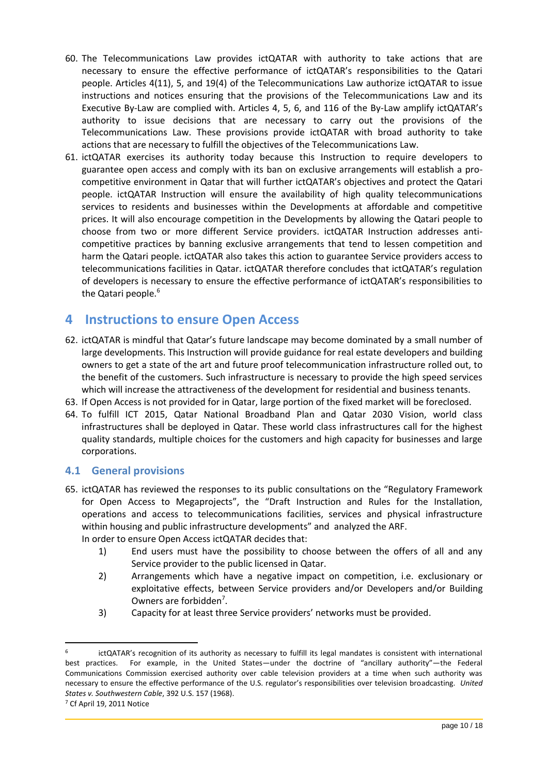- 60. The Telecommunications Law provides ictQATAR with authority to take actions that are necessary to ensure the effective performance of ictQATAR's responsibilities to the Qatari people. Articles 4(11), 5, and 19(4) of the Telecommunications Law authorize ictQATAR to issue instructions and notices ensuring that the provisions of the Telecommunications Law and its Executive By-Law are complied with. Articles 4, 5, 6, and 116 of the By-Law amplify ictQATAR's authority to issue decisions that are necessary to carry out the provisions of the Telecommunications Law. These provisions provide ictQATAR with broad authority to take actions that are necessary to fulfill the objectives of the Telecommunications Law.
- 61. ictQATAR exercises its authority today because this Instruction to require developers to guarantee open access and comply with its ban on exclusive arrangements will establish a procompetitive environment in Qatar that will further ictQATAR's objectives and protect the Qatari people. ictQATAR Instruction will ensure the availability of high quality telecommunications services to residents and businesses within the Developments at affordable and competitive prices. It will also encourage competition in the Developments by allowing the Qatari people to choose from two or more different Service providers. ictQATAR Instruction addresses anticompetitive practices by banning exclusive arrangements that tend to lessen competition and harm the Qatari people. ictQATAR also takes this action to guarantee Service providers access to telecommunications facilities in Qatar. ictQATAR therefore concludes that ictQATAR's regulation of developers is necessary to ensure the effective performance of ictQATAR's responsibilities to the Qatari people.<sup>6</sup>

### <span id="page-9-0"></span>**4 Instructions to ensure Open Access**

- 62. ictQATAR is mindful that Qatar's future landscape may become dominated by a small number of large developments. This Instruction will provide guidance for real estate developers and building owners to get a state of the art and future proof telecommunication infrastructure rolled out, to the benefit of the customers. Such infrastructure is necessary to provide the high speed services which will increase the attractiveness of the development for residential and business tenants.
- 63. If Open Access is not provided for in Qatar, large portion of the fixed market will be foreclosed.
- 64. To fulfill ICT 2015, Qatar National Broadband Plan and Qatar 2030 Vision, world class infrastructures shall be deployed in Qatar. These world class infrastructures call for the highest quality standards, multiple choices for the customers and high capacity for businesses and large corporations.

#### <span id="page-9-1"></span>**4.1 General provisions**

65. ictQATAR has reviewed the responses to its public consultations on the "Regulatory Framework for Open Access to Megaprojects", the "Draft Instruction and Rules for the Installation, operations and access to telecommunications facilities, services and physical infrastructure within housing and public infrastructure developments" and analyzed the ARF.

In order to ensure Open Access ictQATAR decides that:

- 1) End users must have the possibility to choose between the offers of all and any Service provider to the public licensed in Qatar.
- 2) Arrangements which have a negative impact on competition, i.e. exclusionary or exploitative effects, between Service providers and/or Developers and/or Building Owners are forbidden<sup>7</sup>.
- 3) Capacity for at least three Service providers' networks must be provided.

<span id="page-9-2"></span> $\overline{a}$ 

<sup>6</sup> ictQATAR's recognition of its authority as necessary to fulfill its legal mandates is consistent with international best practices. For example, in the United States—under the doctrine of "ancillary authority"—the Federal Communications Commission exercised authority over cable television providers at a time when such authority was necessary to ensure the effective performance of the U.S. regulator's responsibilities over television broadcasting. *United States v. Southwestern Cable*, 392 U.S. 157 (1968).

<sup>7</sup> Cf April 19, 2011 Notice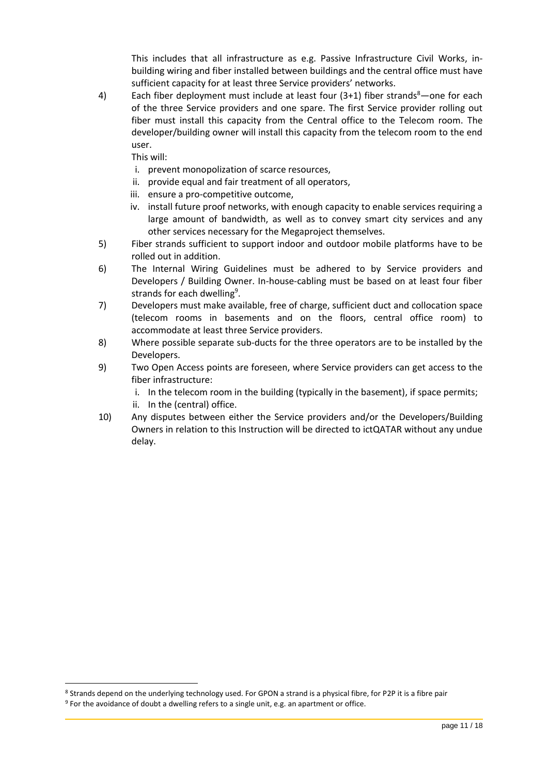This includes that all infrastructure as e.g. Passive Infrastructure Civil Works, inbuilding wiring and fiber installed between buildings and the central office must have sufficient capacity for at least three Service providers' networks.

4) Each fiber deployment must include at least four  $(3+1)$  fiber strands<sup>8</sup>—one for each of the three Service providers and one spare. The first Service provider rolling out fiber must install this capacity from the Central office to the Telecom room. The developer/building owner will install this capacity from the telecom room to the end user.

This will:

- i. prevent monopolization of scarce resources,
- ii. provide equal and fair treatment of all operators,
- iii. ensure a pro-competitive outcome,
- iv. install future proof networks, with enough capacity to enable services requiring a large amount of bandwidth, as well as to convey smart city services and any other services necessary for the Megaproject themselves.
- 5) Fiber strands sufficient to support indoor and outdoor mobile platforms have to be rolled out in addition.
- 6) The Internal Wiring Guidelines must be adhered to by Service providers and Developers / Building Owner. In-house-cabling must be based on at least four fiber strands for each dwelling<sup>9</sup>.
- 7) Developers must make available, free of charge, sufficient duct and collocation space (telecom rooms in basements and on the floors, central office room) to accommodate at least three Service providers.
- 8) Where possible separate sub-ducts for the three operators are to be installed by the Developers.
- 9) Two Open Access points are foreseen, where Service providers can get access to the fiber infrastructure:

i. In the telecom room in the building (typically in the basement), if space permits;

- ii. In the (central) office.
- 10) Any disputes between either the Service providers and/or the Developers/Building Owners in relation to this Instruction will be directed to ictQATAR without any undue delay.

 $\overline{a}$ 

<sup>8</sup> Strands depend on the underlying technology used. For GPON a strand is a physical fibre, for P2P it is a fibre pair

<sup>&</sup>lt;sup>9</sup> For the avoidance of doubt a dwelling refers to a single unit, e.g. an apartment or office.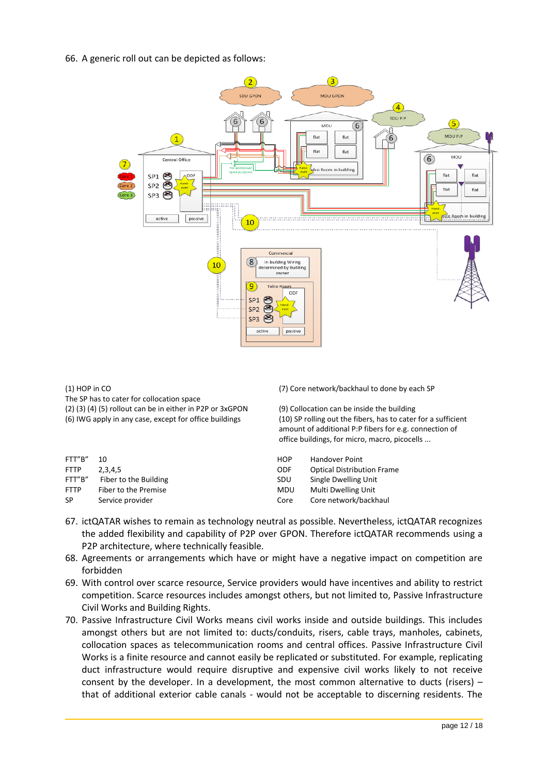66. A generic roll out can be depicted as follows:



(1) HOP in CO

The SP has to cater for collocation space (2) (3) (4) (5) rollout can be in either in P2P or  $3xGPON$  (9) Collocation can be inside the building (6) IWG apply in any case, except for office buildings (6) IWG apply in any case, except for office buildings (10) SP r

FTT"B" 10 **HOP** Handover Point FTT"B" Fiber to the Building SUPERSON SUPERSON SUPERSON SINGLE DWELLING SUPERSON SUPERSON SUPERSON SINGLE DWELLING FTTP Fiber to the Premise Multi During Units Open Multi Department of the Multi During Units Open Multi During U<br>Service provider Community Community Community Community Community Community Community Community Open Multi D Service provider Core Core network Core Core network

(7) Core network/backhaul to done by each SP

(10) SP rolling out the fibers, has to cater for a sufficient amount of additional P:P fibers for e.g. connection of office buildings, for micro, macro, picocells ...

| FTT"B" | 10                    | <b>HOP</b> | <b>Handover Point</b>             |
|--------|-----------------------|------------|-----------------------------------|
| FTTP   | 2.3.4.5               | <b>ODF</b> | <b>Optical Distribution Frame</b> |
| FTT"B" | Fiber to the Building | <b>SDU</b> | Single Dwelling Unit              |
| FTTP   | Fiber to the Premise  | <b>MDU</b> | Multi Dwelling Unit               |
| SP     | Service provider      | Core       | Core network/backhaul             |
|        |                       |            |                                   |

- 67. ictQATAR wishes to remain as technology neutral as possible. Nevertheless, ictQATAR recognizes the added flexibility and capability of P2P over GPON. Therefore ictQATAR recommends using a P2P architecture, where technically feasible.
- 68. Agreements or arrangements which have or might have a negative impact on competition are forbidden
- 69. With control over scarce resource, Service providers would have incentives and ability to restrict competition. Scarce resources includes amongst others, but not limited to, Passive Infrastructure Civil Works and Building Rights.
- <span id="page-11-0"></span>70. Passive Infrastructure Civil Works means civil works inside and outside buildings. This includes amongst others but are not limited to: ducts/conduits, risers, cable trays, manholes, cabinets, collocation spaces as telecommunication rooms and central offices. Passive Infrastructure Civil Works is a finite resource and cannot easily be replicated or substituted. For example, replicating duct infrastructure would require disruptive and expensive civil works likely to not receive consent by the developer. In a development, the most common alternative to ducts (risers) – that of additional exterior cable canals - would not be acceptable to discerning residents. The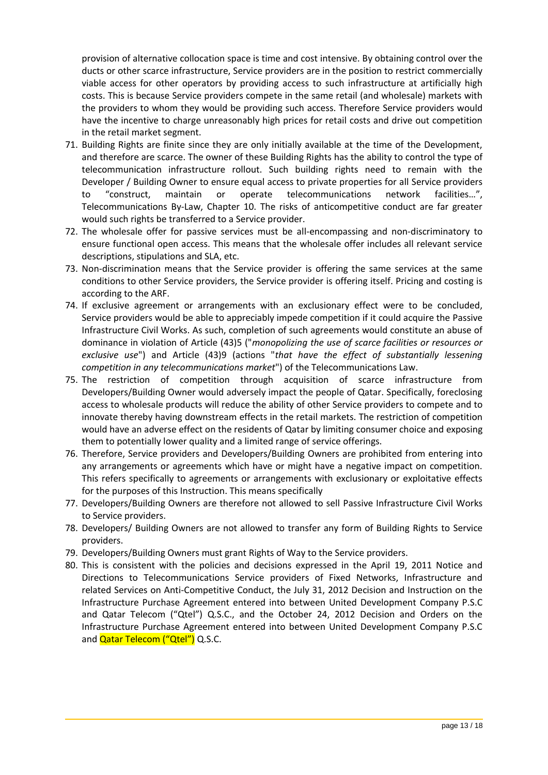provision of alternative collocation space is time and cost intensive. By obtaining control over the ducts or other scarce infrastructure, Service providers are in the position to restrict commercially viable access for other operators by providing access to such infrastructure at artificially high costs. This is because Service providers compete in the same retail (and wholesale) markets with the providers to whom they would be providing such access. Therefore Service providers would have the incentive to charge unreasonably high prices for retail costs and drive out competition in the retail market segment.

- 71. Building Rights are finite since they are only initially available at the time of the Development, and therefore are scarce. The owner of these Building Rights has the ability to control the type of telecommunication infrastructure rollout. Such building rights need to remain with the Developer / Building Owner to ensure equal access to private properties for all Service providers to "construct, maintain or operate telecommunications network facilities…", Telecommunications By-Law, Chapter 10. The risks of anticompetitive conduct are far greater would such rights be transferred to a Service provider.
- 72. The wholesale offer for passive services must be all-encompassing and non-discriminatory to ensure functional open access. This means that the wholesale offer includes all relevant service descriptions, stipulations and SLA, etc.
- 73. Non-discrimination means that the Service provider is offering the same services at the same conditions to other Service providers, the Service provider is offering itself. Pricing and costing is according to the ARF.
- 74. If exclusive agreement or arrangements with an exclusionary effect were to be concluded, Service providers would be able to appreciably impede competition if it could acquire the Passive Infrastructure Civil Works. As such, completion of such agreements would constitute an abuse of dominance in violation of Article (43)5 ("*monopolizing the use of scarce facilities or resources or exclusive use*") and Article (43)9 (actions "*that have the effect of substantially lessening competition in any telecommunications market*") of the Telecommunications Law.
- 75. The restriction of competition through acquisition of scarce infrastructure from Developers/Building Owner would adversely impact the people of Qatar. Specifically, foreclosing access to wholesale products will reduce the ability of other Service providers to compete and to innovate thereby having downstream effects in the retail markets. The restriction of competition would have an adverse effect on the residents of Qatar by limiting consumer choice and exposing them to potentially lower quality and a limited range of service offerings.
- 76. Therefore, Service providers and Developers/Building Owners are prohibited from entering into any arrangements or agreements which have or might have a negative impact on competition. This refers specifically to agreements or arrangements with exclusionary or exploitative effects for the purposes of this Instruction. This means specifically
- 77. Developers/Building Owners are therefore not allowed to sell Passive Infrastructure Civil Works to Service providers.
- 78. Developers/ Building Owners are not allowed to transfer any form of Building Rights to Service providers.
- 79. Developers/Building Owners must grant Rights of Way to the Service providers.
- 80. This is consistent with the policies and decisions expressed in the April 19, 2011 Notice and Directions to Telecommunications Service providers of Fixed Networks, Infrastructure and related Services on Anti-Competitive Conduct, the July 31, 2012 Decision and Instruction on the Infrastructure Purchase Agreement entered into between United Development Company P.S.C and Qatar Telecom ("Qtel") Q.S.C., and the October 24, 2012 Decision and Orders on the Infrastructure Purchase Agreement entered into between United Development Company P.S.C and **Qatar Telecom ("Qtel")** Q.S.C.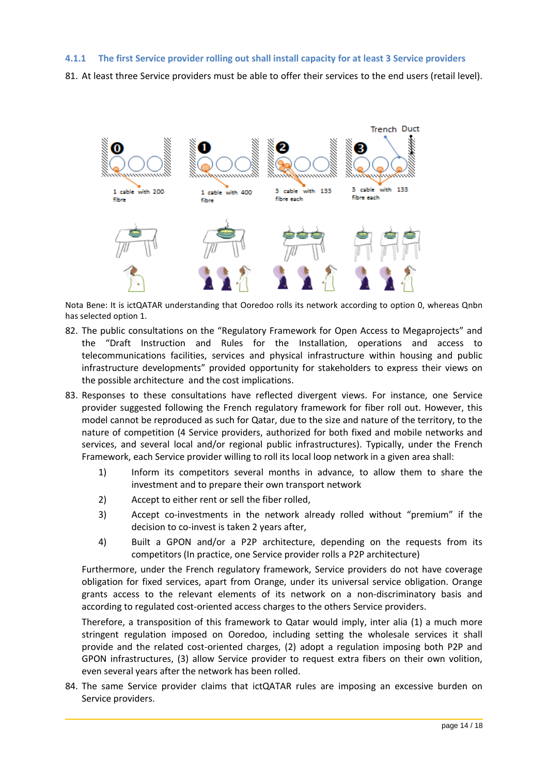#### <span id="page-13-0"></span>**4.1.1 The first Service provider rolling out shall install capacity for at least 3 Service providers**

81. At least three Service providers must be able to offer their services to the end users (retail level).



Nota Bene: It is ictQATAR understanding that Ooredoo rolls its network according to option 0, whereas Qnbn has selected option 1.

- 82. The public consultations on the "Regulatory Framework for Open Access to Megaprojects" and the "Draft Instruction and Rules for the Installation, operations and access to telecommunications facilities, services and physical infrastructure within housing and public infrastructure developments" provided opportunity for stakeholders to express their views on the possible architecture and the cost implications.
- 83. Responses to these consultations have reflected divergent views. For instance, one Service provider suggested following the French regulatory framework for fiber roll out. However, this model cannot be reproduced as such for Qatar, due to the size and nature of the territory, to the nature of competition (4 Service providers, authorized for both fixed and mobile networks and services, and several local and/or regional public infrastructures). Typically, under the French Framework, each Service provider willing to roll its local loop network in a given area shall:
	- 1) Inform its competitors several months in advance, to allow them to share the investment and to prepare their own transport network
	- 2) Accept to either rent or sell the fiber rolled,
	- 3) Accept co-investments in the network already rolled without "premium" if the decision to co-invest is taken 2 years after,
	- 4) Built a GPON and/or a P2P architecture, depending on the requests from its competitors (In practice, one Service provider rolls a P2P architecture)

Furthermore, under the French regulatory framework, Service providers do not have coverage obligation for fixed services, apart from Orange, under its universal service obligation. Orange grants access to the relevant elements of its network on a non-discriminatory basis and according to regulated cost-oriented access charges to the others Service providers.

Therefore, a transposition of this framework to Qatar would imply, inter alia (1) a much more stringent regulation imposed on Ooredoo, including setting the wholesale services it shall provide and the related cost-oriented charges, (2) adopt a regulation imposing both P2P and GPON infrastructures, (3) allow Service provider to request extra fibers on their own volition, even several years after the network has been rolled.

84. The same Service provider claims that ictQATAR rules are imposing an excessive burden on Service providers.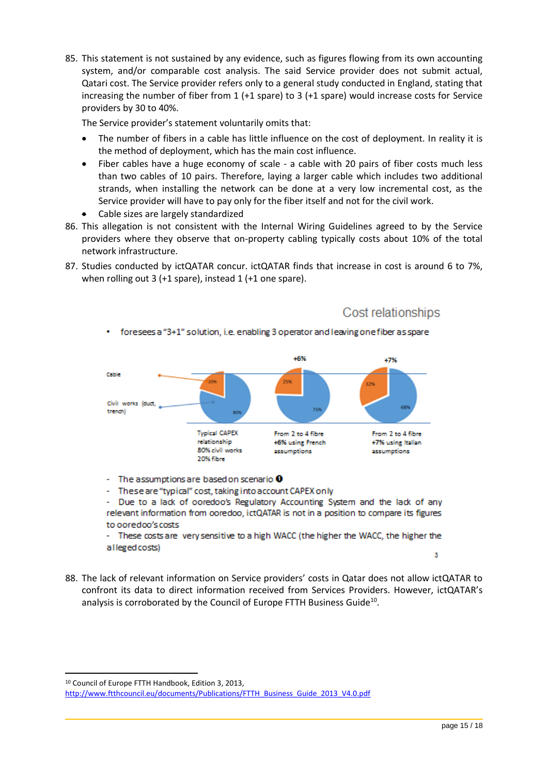85. This statement is not sustained by any evidence, such as figures flowing from its own accounting system, and/or comparable cost analysis. The said Service provider does not submit actual, Qatari cost. The Service provider refers only to a general study conducted in England, stating that increasing the number of fiber from 1 (+1 spare) to 3 (+1 spare) would increase costs for Service providers by 30 to 40%.

The Service provider's statement voluntarily omits that:

- The number of fibers in a cable has little influence on the cost of deployment. In reality it is the method of deployment, which has the main cost influence.
- Fiber cables have a huge economy of scale a cable with 20 pairs of fiber costs much less than two cables of 10 pairs. Therefore, laying a larger cable which includes two additional strands, when installing the network can be done at a very low incremental cost, as the Service provider will have to pay only for the fiber itself and not for the civil work.
- Cable sizes are largely standardized
- 86. This allegation is not consistent with the Internal Wiring Guidelines agreed to by the Service providers where they observe that on-property cabling typically costs about 10% of the total network infrastructure.
- 87. Studies conducted by ictQATAR concur. ictQATAR finds that increase in cost is around 6 to 7%, when rolling out 3 (+1 spare), instead 1 (+1 one spare).



foresees a "3+1" solution, i.e. enabling 3 operator and leaving one fiber as spare

- The assumptions are based on scenario  $\mathbf 0$
- These are "typical" cost, taking into account CAPEX only

Due to a lack of ooredoo's Regulatory Accounting System and the lack of any relevant information from ooredoo, ictQATAR is not in a position to compare its figures to ooredoo's costs

These costs are very sensitive to a high WACC (the higher the WACC, the higher the alleged costs)

3

Cost relationships

88. The lack of relevant information on Service providers' costs in Qatar does not allow ictQATAR to confront its data to direct information received from Services Providers. However, ictQATAR's analysis is corroborated by the Council of Europe FTTH Business Guide<sup>10</sup>.

 $\overline{\phantom{a}}$ 

<sup>10</sup> Council of Europe FTTH Handbook, Edition 3, 2013,

[http://www.ftthcouncil.eu/documents/Publications/FTTH\\_Business\\_Guide\\_2013\\_V4.0.pdf](http://www.ftthcouncil.eu/documents/Publications/FTTH_Business_Guide_2013_V4.0.pdf)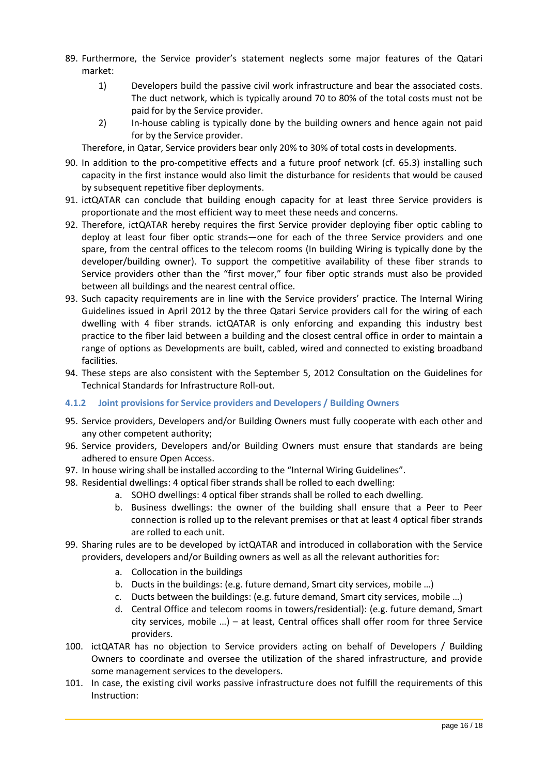- 89. Furthermore, the Service provider's statement neglects some major features of the Qatari market:
	- 1) Developers build the passive civil work infrastructure and bear the associated costs. The duct network, which is typically around 70 to 80% of the total costs must not be paid for by the Service provider.
	- 2) In-house cabling is typically done by the building owners and hence again not paid for by the Service provider.

Therefore, in Qatar, Service providers bear only 20% to 30% of total costs in developments.

- 90. In addition to the pro-competitive effects and a future proof network (cf. [65.3\)](#page-9-2) installing such capacity in the first instance would also limit the disturbance for residents that would be caused by subsequent repetitive fiber deployments.
- 91. ictQATAR can conclude that building enough capacity for at least three Service providers is proportionate and the most efficient way to meet these needs and concerns.
- 92. Therefore, ictQATAR hereby requires the first Service provider deploying fiber optic cabling to deploy at least four fiber optic strands—one for each of the three Service providers and one spare, from the central offices to the telecom rooms (In building Wiring is typically done by the developer/building owner). To support the competitive availability of these fiber strands to Service providers other than the "first mover," four fiber optic strands must also be provided between all buildings and the nearest central office.
- 93. Such capacity requirements are in line with the Service providers' practice. The Internal Wiring Guidelines issued in April 2012 by the three Qatari Service providers call for the wiring of each dwelling with 4 fiber strands. ictQATAR is only enforcing and expanding this industry best practice to the fiber laid between a building and the closest central office in order to maintain a range of options as Developments are built, cabled, wired and connected to existing broadband facilities.
- 94. These steps are also consistent with the September 5, 2012 Consultation on the Guidelines for Technical Standards for Infrastructure Roll-out.

#### <span id="page-15-0"></span>**4.1.2 Joint provisions for Service providers and Developers / Building Owners**

- 95. Service providers, Developers and/or Building Owners must fully cooperate with each other and any other competent authority;
- 96. Service providers, Developers and/or Building Owners must ensure that standards are being adhered to ensure Open Access.
- 97. In house wiring shall be installed according to the "Internal Wiring Guidelines".
- 98. Residential dwellings: 4 optical fiber strands shall be rolled to each dwelling:
	- a. SOHO dwellings: 4 optical fiber strands shall be rolled to each dwelling.
	- b. Business dwellings: the owner of the building shall ensure that a Peer to Peer connection is rolled up to the relevant premises or that at least 4 optical fiber strands are rolled to each unit.
- 99. Sharing rules are to be developed by ictQATAR and introduced in collaboration with the Service providers, developers and/or Building owners as well as all the relevant authorities for:
	- a. Collocation in the buildings
	- b. Ducts in the buildings: (e.g. future demand, Smart city services, mobile …)
	- c. Ducts between the buildings: (e.g. future demand, Smart city services, mobile …)
	- d. Central Office and telecom rooms in towers/residential): (e.g. future demand, Smart city services, mobile …) – at least, Central offices shall offer room for three Service providers.
- 100. ictQATAR has no objection to Service providers acting on behalf of Developers / Building Owners to coordinate and oversee the utilization of the shared infrastructure, and provide some management services to the developers.
- 101. In case, the existing civil works passive infrastructure does not fulfill the requirements of this Instruction: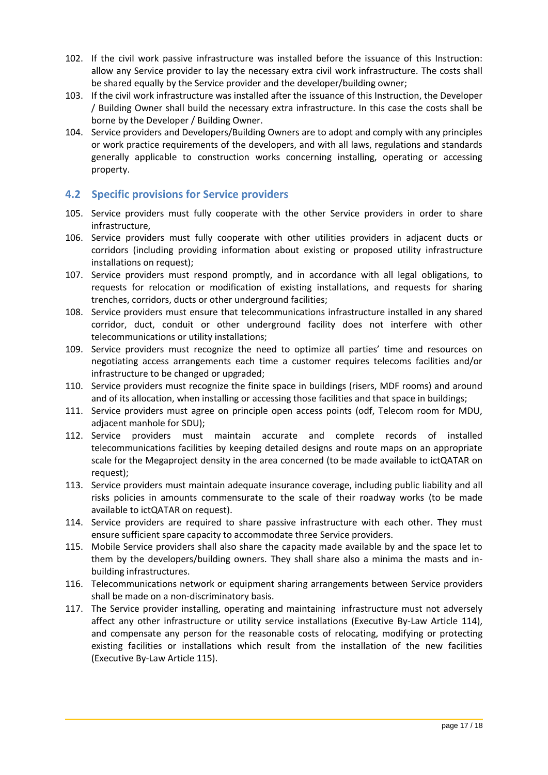- 102. If the civil work passive infrastructure was installed before the issuance of this Instruction: allow any Service provider to lay the necessary extra civil work infrastructure. The costs shall be shared equally by the Service provider and the developer/building owner;
- 103. If the civil work infrastructure was installed after the issuance of this Instruction, the Developer / Building Owner shall build the necessary extra infrastructure. In this case the costs shall be borne by the Developer / Building Owner.
- 104. Service providers and Developers/Building Owners are to adopt and comply with any principles or work practice requirements of the developers, and with all laws, regulations and standards generally applicable to construction works concerning installing, operating or accessing property.

#### <span id="page-16-0"></span>**4.2 Specific provisions for Service providers**

- 105. Service providers must fully cooperate with the other Service providers in order to share infrastructure,
- 106. Service providers must fully cooperate with other utilities providers in adjacent ducts or corridors (including providing information about existing or proposed utility infrastructure installations on request);
- 107. Service providers must respond promptly, and in accordance with all legal obligations, to requests for relocation or modification of existing installations, and requests for sharing trenches, corridors, ducts or other underground facilities;
- 108. Service providers must ensure that telecommunications infrastructure installed in any shared corridor, duct, conduit or other underground facility does not interfere with other telecommunications or utility installations;
- 109. Service providers must recognize the need to optimize all parties' time and resources on negotiating access arrangements each time a customer requires telecoms facilities and/or infrastructure to be changed or upgraded;
- 110. Service providers must recognize the finite space in buildings (risers, MDF rooms) and around and of its allocation, when installing or accessing those facilities and that space in buildings;
- 111. Service providers must agree on principle open access points (odf, Telecom room for MDU, adjacent manhole for SDU);
- 112. Service providers must maintain accurate and complete records of installed telecommunications facilities by keeping detailed designs and route maps on an appropriate scale for the Megaproject density in the area concerned (to be made available to ictQATAR on request);
- 113. Service providers must maintain adequate insurance coverage, including public liability and all risks policies in amounts commensurate to the scale of their roadway works (to be made available to ictQATAR on request).
- 114. Service providers are required to share passive infrastructure with each other. They must ensure sufficient spare capacity to accommodate three Service providers.
- 115. Mobile Service providers shall also share the capacity made available by and the space let to them by the developers/building owners. They shall share also a minima the masts and inbuilding infrastructures.
- 116. Telecommunications network or equipment sharing arrangements between Service providers shall be made on a non-discriminatory basis.
- 117. The Service provider installing, operating and maintaining infrastructure must not adversely affect any other infrastructure or utility service installations (Executive By-Law Article 114), and compensate any person for the reasonable costs of relocating, modifying or protecting existing facilities or installations which result from the installation of the new facilities (Executive By-Law Article 115).